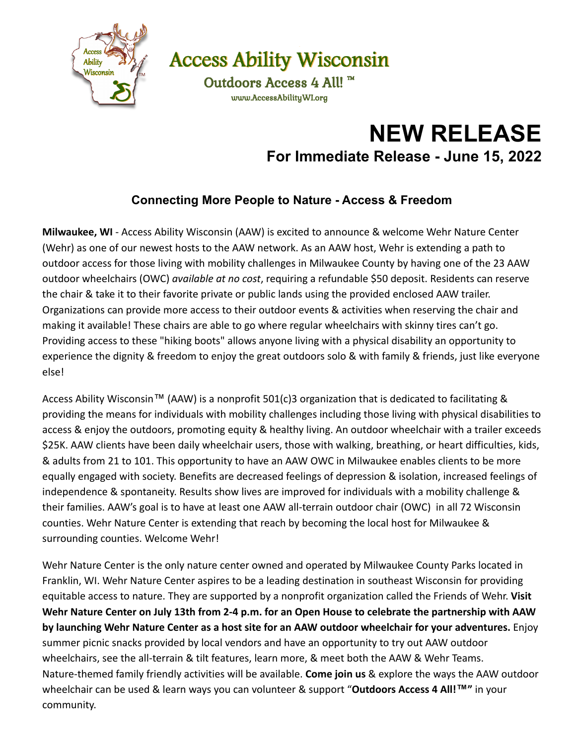

**Access Ability Wisconsin** 

Outdoors Access 4 All! ™ www.AccessAbilityWI.org

## **NEW RELEASE For Immediate Release - June 15, 2022**

## **Connecting More People to Nature - Access & Freedom**

**Milwaukee, WI** - Access Ability Wisconsin (AAW) is excited to announce & welcome Wehr Nature Center (Wehr) as one of our newest hosts to the AAW network. As an AAW host, Wehr is extending a path to outdoor access for those living with mobility challenges in Milwaukee County by having one of the 23 AAW outdoor wheelchairs (OWC) *available at no cost*, requiring a refundable \$50 deposit. Residents can reserve the chair & take it to their favorite private or public lands using the provided enclosed AAW trailer. Organizations can provide more access to their outdoor events & activities when reserving the chair and making it available! These chairs are able to go where regular wheelchairs with skinny tires can't go. Providing access to these "hiking boots" allows anyone living with a physical disability an opportunity to experience the dignity & freedom to enjoy the great outdoors solo & with family & friends, just like everyone else!

Access Ability Wisconsin<sup>™</sup> (AAW) is a nonprofit 501(c)3 organization that is dedicated to facilitating & providing the means for individuals with mobility challenges including those living with physical disabilities to access & enjoy the outdoors, promoting equity & healthy living. An outdoor wheelchair with a trailer exceeds \$25K. AAW clients have been daily wheelchair users, those with walking, breathing, or heart difficulties, kids, & adults from 21 to 101. This opportunity to have an AAW OWC in Milwaukee enables clients to be more equally engaged with society. Benefits are decreased feelings of depression & isolation, increased feelings of independence & spontaneity. Results show lives are improved for individuals with a mobility challenge & their families. AAW's goal is to have at least one AAW all-terrain outdoor chair (OWC) in all 72 Wisconsin counties. Wehr Nature Center is extending that reach by becoming the local host for Milwaukee & surrounding counties. Welcome Wehr!

Wehr Nature Center is the only nature center owned and operated by Milwaukee County Parks located in Franklin, WI. Wehr Nature Center aspires to be a leading destination in southeast Wisconsin for providing equitable access to nature. They are supported by a nonprofit organization called the Friends of Wehr. **Visit Wehr Nature Center on July 13th from 2-4 p.m. for an Open House to celebrate the partnership with AAW by launching Wehr Nature Center as a host site for an AAW outdoor wheelchair for your adventures.** Enjoy summer picnic snacks provided by local vendors and have an opportunity to try out AAW outdoor wheelchairs, see the all-terrain & tilt features, learn more, & meet both the AAW & Wehr Teams. Nature-themed family friendly activities will be available. **Come join us** & explore the ways the AAW outdoor wheelchair can be used & learn ways you can volunteer & support "**Outdoors Access 4 All!™"** in your community.